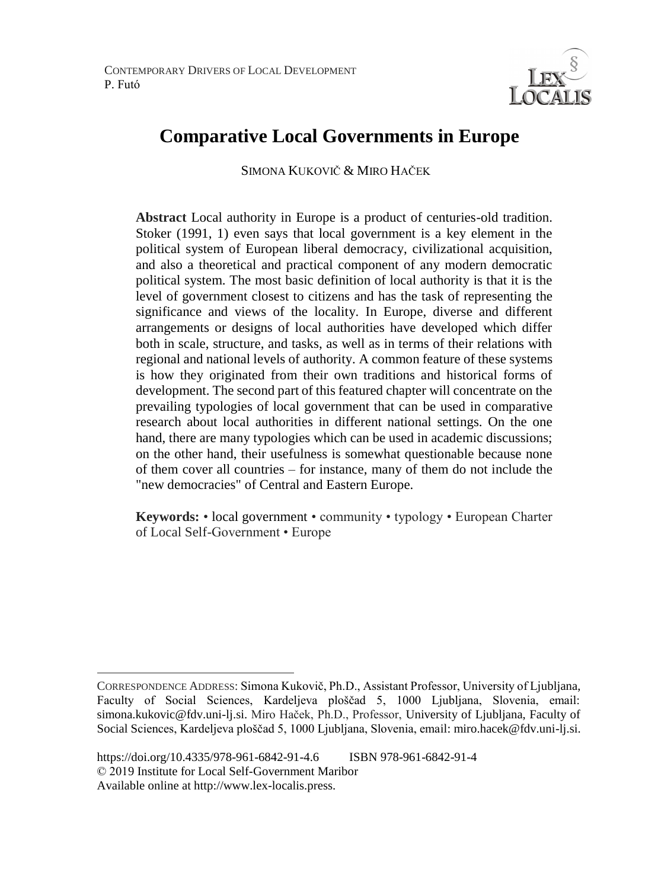

# **Comparative Local Governments in Europe**

SIMONA KUKOVIČ & MIRO HAČEK <sup>7</sup>

**Abstract** Local authority in Europe is a product of centuries-old tradition. Stoker (1991, 1) even says that local government is a key element in the political system of European liberal democracy, civilizational acquisition, and also a theoretical and practical component of any modern democratic political system. The most basic definition of local authority is that it is the level of government closest to citizens and has the task of representing the significance and views of the locality. In Europe, diverse and different arrangements or designs of local authorities have developed which differ both in scale, structure, and tasks, as well as in terms of their relations with regional and national levels of authority. A common feature of these systems is how they originated from their own traditions and historical forms of development. The second part of this featured chapter will concentrate on the prevailing typologies of local government that can be used in comparative research about local authorities in different national settings. On the one hand, there are many typologies which can be used in academic discussions; on the other hand, their usefulness is somewhat questionable because none of them cover all countries – for instance, many of them do not include the "new democracies" of Central and Eastern Europe.

**Keywords:** • local government • community • typology • European Charter of Local Self-Government • Europe

 $\overline{a}$ CORRESPONDENCE ADDRESS: Simona Kukovič, Ph.D., Assistant Professor, University of Ljubljana, Faculty of Social Sciences, Kardeljeva ploščad 5, 1000 Ljubljana, Slovenia, email: simona.kukovic@fdv.uni-lj.si. Miro Haček, Ph.D., Professor, University of Ljubljana, Faculty of Social Sciences, Kardeljeva ploščad 5, 1000 Ljubljana, Slovenia, email: miro.hacek@fdv.uni-lj.si.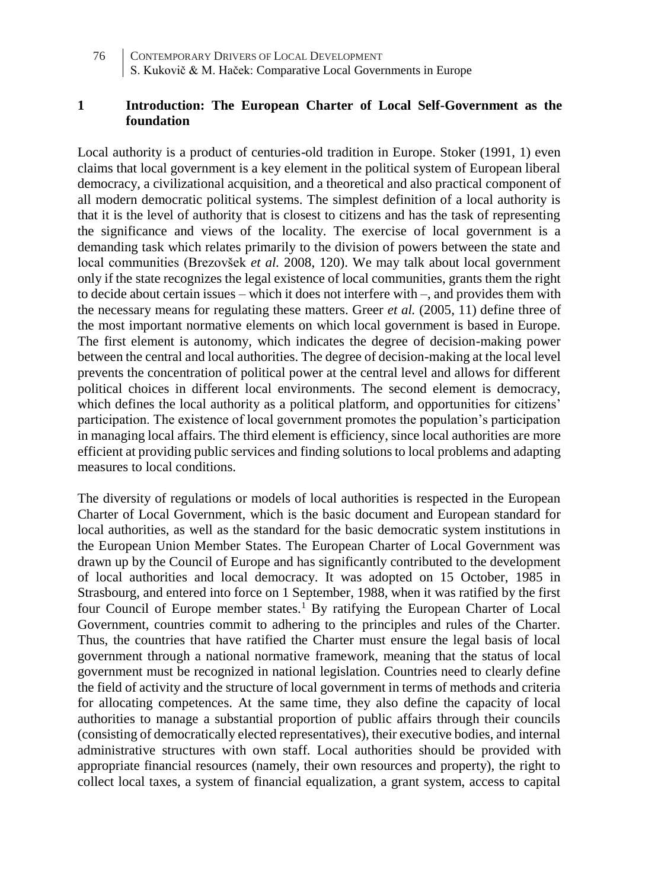## **1 Introduction: The European Charter of Local Self-Government as the foundation**

Local authority is a product of centuries-old tradition in Europe. Stoker (1991, 1) even claims that local government is a key element in the political system of European liberal democracy, a civilizational acquisition, and a theoretical and also practical component of all modern democratic political systems. The simplest definition of a local authority is that it is the level of authority that is closest to citizens and has the task of representing the significance and views of the locality. The exercise of local government is a demanding task which relates primarily to the division of powers between the state and local communities (Brezovšek *et al.* 2008, 120). We may talk about local government only if the state recognizes the legal existence of local communities, grants them the right to decide about certain issues – which it does not interfere with –, and provides them with the necessary means for regulating these matters. Greer *et al.* (2005, 11) define three of the most important normative elements on which local government is based in Europe. The first element is autonomy, which indicates the degree of decision-making power between the central and local authorities. The degree of decision-making at the local level prevents the concentration of political power at the central level and allows for different political choices in different local environments. The second element is democracy, which defines the local authority as a political platform, and opportunities for citizens' participation. The existence of local government promotes the population's participation in managing local affairs. The third element is efficiency, since local authorities are more efficient at providing public services and finding solutions to local problems and adapting measures to local conditions.

The diversity of regulations or models of local authorities is respected in the European Charter of Local Government, which is the basic document and European standard for local authorities, as well as the standard for the basic democratic system institutions in the European Union Member States. The European Charter of Local Government was drawn up by the Council of Europe and has significantly contributed to the development of local authorities and local democracy. It was adopted on 15 October, 1985 in Strasbourg, and entered into force on 1 September, 1988, when it was ratified by the first four Council of Europe member states.<sup>1</sup> By ratifying the European Charter of Local Government, countries commit to adhering to the principles and rules of the Charter. Thus, the countries that have ratified the Charter must ensure the legal basis of local government through a national normative framework, meaning that the status of local government must be recognized in national legislation. Countries need to clearly define the field of activity and the structure of local government in terms of methods and criteria for allocating competences. At the same time, they also define the capacity of local authorities to manage a substantial proportion of public affairs through their councils (consisting of democratically elected representatives), their executive bodies, and internal administrative structures with own staff. Local authorities should be provided with appropriate financial resources (namely, their own resources and property), the right to collect local taxes, a system of financial equalization, a grant system, access to capital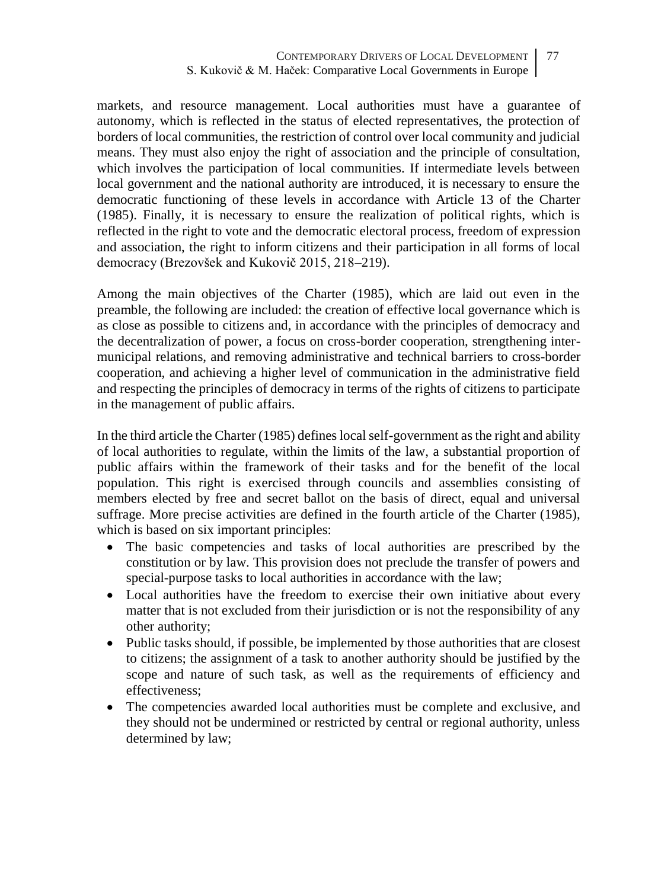markets, and resource management. Local authorities must have a guarantee of autonomy, which is reflected in the status of elected representatives, the protection of borders of local communities, the restriction of control over local community and judicial means. They must also enjoy the right of association and the principle of consultation, which involves the participation of local communities. If intermediate levels between local government and the national authority are introduced, it is necessary to ensure the democratic functioning of these levels in accordance with Article 13 of the Charter (1985). Finally, it is necessary to ensure the realization of political rights, which is reflected in the right to vote and the democratic electoral process, freedom of expression and association, the right to inform citizens and their participation in all forms of local democracy (Brezovšek and Kukovič 2015, 218–219).

Among the main objectives of the Charter (1985), which are laid out even in the preamble, the following are included: the creation of effective local governance which is as close as possible to citizens and, in accordance with the principles of democracy and the decentralization of power, a focus on cross-border cooperation, strengthening intermunicipal relations, and removing administrative and technical barriers to cross-border cooperation, and achieving a higher level of communication in the administrative field and respecting the principles of democracy in terms of the rights of citizens to participate in the management of public affairs.

In the third article the Charter (1985) defines local self-government as the right and ability of local authorities to regulate, within the limits of the law, a substantial proportion of public affairs within the framework of their tasks and for the benefit of the local population. This right is exercised through councils and assemblies consisting of members elected by free and secret ballot on the basis of direct, equal and universal suffrage. More precise activities are defined in the fourth article of the Charter (1985), which is based on six important principles:

- The basic competencies and tasks of local authorities are prescribed by the constitution or by law. This provision does not preclude the transfer of powers and special-purpose tasks to local authorities in accordance with the law;
- Local authorities have the freedom to exercise their own initiative about every matter that is not excluded from their jurisdiction or is not the responsibility of any other authority;
- Public tasks should, if possible, be implemented by those authorities that are closest to citizens; the assignment of a task to another authority should be justified by the scope and nature of such task, as well as the requirements of efficiency and effectiveness;
- The competencies awarded local authorities must be complete and exclusive, and they should not be undermined or restricted by central or regional authority, unless determined by law;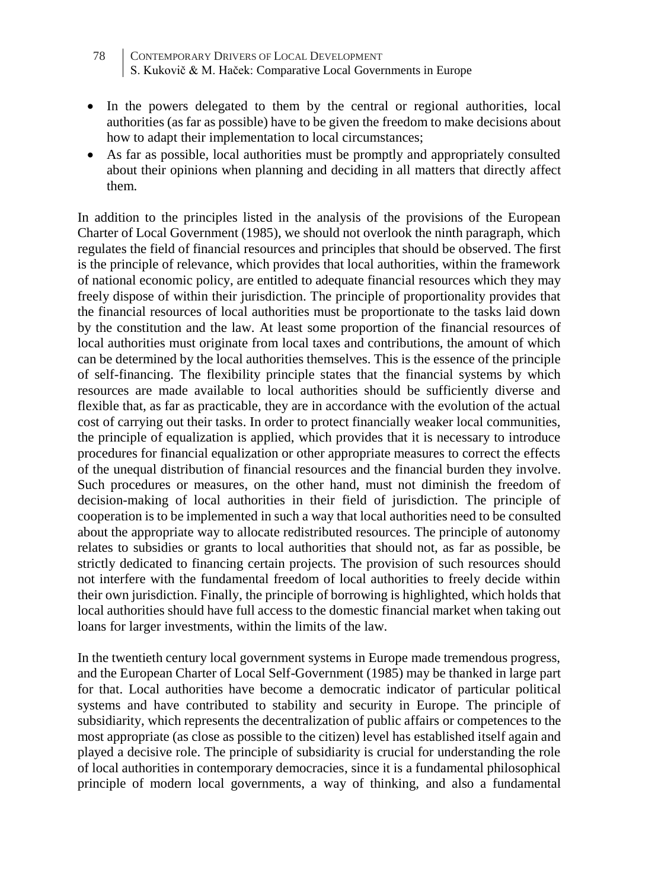- 78 CONTEMPORARY DRIVERS OF LOCAL DEVELOPMENT S. Kukovič & M. Haček: Comparative Local Governments in Europe
- In the powers delegated to them by the central or regional authorities, local authorities (as far as possible) have to be given the freedom to make decisions about how to adapt their implementation to local circumstances;
- As far as possible, local authorities must be promptly and appropriately consulted about their opinions when planning and deciding in all matters that directly affect them.

In addition to the principles listed in the analysis of the provisions of the European Charter of Local Government (1985), we should not overlook the ninth paragraph, which regulates the field of financial resources and principles that should be observed. The first is the principle of relevance, which provides that local authorities, within the framework of national economic policy, are entitled to adequate financial resources which they may freely dispose of within their jurisdiction. The principle of proportionality provides that the financial resources of local authorities must be proportionate to the tasks laid down by the constitution and the law. At least some proportion of the financial resources of local authorities must originate from local taxes and contributions, the amount of which can be determined by the local authorities themselves. This is the essence of the principle of self-financing. The flexibility principle states that the financial systems by which resources are made available to local authorities should be sufficiently diverse and flexible that, as far as practicable, they are in accordance with the evolution of the actual cost of carrying out their tasks. In order to protect financially weaker local communities, the principle of equalization is applied, which provides that it is necessary to introduce procedures for financial equalization or other appropriate measures to correct the effects of the unequal distribution of financial resources and the financial burden they involve. Such procedures or measures, on the other hand, must not diminish the freedom of decision-making of local authorities in their field of jurisdiction. The principle of cooperation is to be implemented in such a way that local authorities need to be consulted about the appropriate way to allocate redistributed resources. The principle of autonomy relates to subsidies or grants to local authorities that should not, as far as possible, be strictly dedicated to financing certain projects. The provision of such resources should not interfere with the fundamental freedom of local authorities to freely decide within their own jurisdiction. Finally, the principle of borrowing is highlighted, which holds that local authorities should have full access to the domestic financial market when taking out loans for larger investments, within the limits of the law.

In the twentieth century local government systems in Europe made tremendous progress, and the European Charter of Local Self-Government (1985) may be thanked in large part for that. Local authorities have become a democratic indicator of particular political systems and have contributed to stability and security in Europe. The principle of subsidiarity, which represents the decentralization of public affairs or competences to the most appropriate (as close as possible to the citizen) level has established itself again and played a decisive role. The principle of subsidiarity is crucial for understanding the role of local authorities in contemporary democracies, since it is a fundamental philosophical principle of modern local governments, a way of thinking, and also a fundamental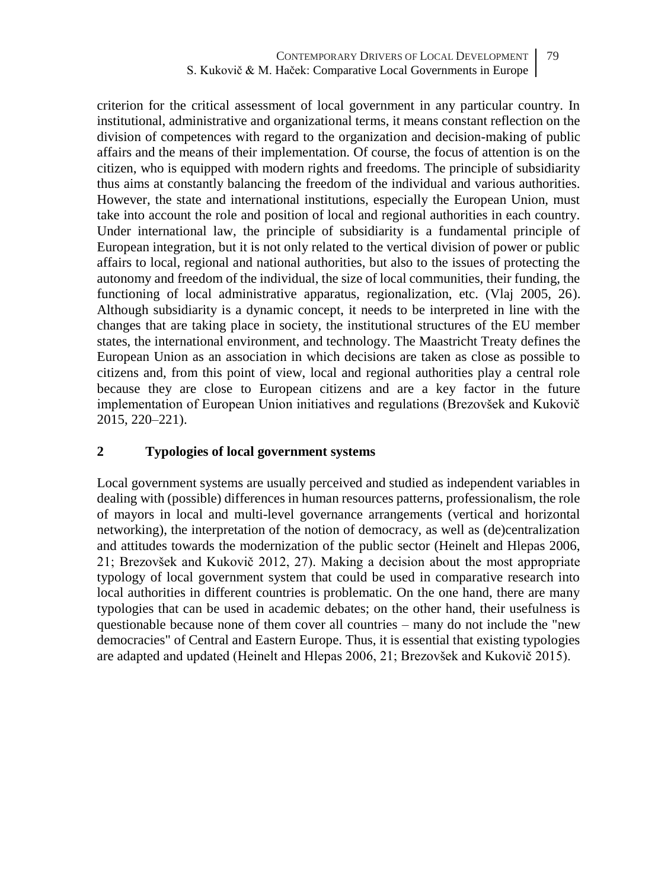criterion for the critical assessment of local government in any particular country. In institutional, administrative and organizational terms, it means constant reflection on the division of competences with regard to the organization and decision-making of public affairs and the means of their implementation. Of course, the focus of attention is on the citizen, who is equipped with modern rights and freedoms. The principle of subsidiarity thus aims at constantly balancing the freedom of the individual and various authorities. However, the state and international institutions, especially the European Union, must take into account the role and position of local and regional authorities in each country. Under international law, the principle of subsidiarity is a fundamental principle of European integration, but it is not only related to the vertical division of power or public affairs to local, regional and national authorities, but also to the issues of protecting the autonomy and freedom of the individual, the size of local communities, their funding, the functioning of local administrative apparatus, regionalization, etc. (Vlaj 2005, 26). Although subsidiarity is a dynamic concept, it needs to be interpreted in line with the changes that are taking place in society, the institutional structures of the EU member states, the international environment, and technology. The Maastricht Treaty defines the European Union as an association in which decisions are taken as close as possible to citizens and, from this point of view, local and regional authorities play a central role because they are close to European citizens and are a key factor in the future implementation of European Union initiatives and regulations (Brezovšek and Kukovič 2015, 220–221).

## **2 Typologies of local government systems**

Local government systems are usually perceived and studied as independent variables in dealing with (possible) differences in human resources patterns, professionalism, the role of mayors in local and multi-level governance arrangements (vertical and horizontal networking), the interpretation of the notion of democracy, as well as (de)centralization and attitudes towards the modernization of the public sector (Heinelt and Hlepas 2006, 21; Brezovšek and Kukovič 2012, 27). Making a decision about the most appropriate typology of local government system that could be used in comparative research into local authorities in different countries is problematic. On the one hand, there are many typologies that can be used in academic debates; on the other hand, their usefulness is questionable because none of them cover all countries – many do not include the "new democracies" of Central and Eastern Europe. Thus, it is essential that existing typologies are adapted and updated (Heinelt and Hlepas 2006, 21; Brezovšek and Kukovič 2015).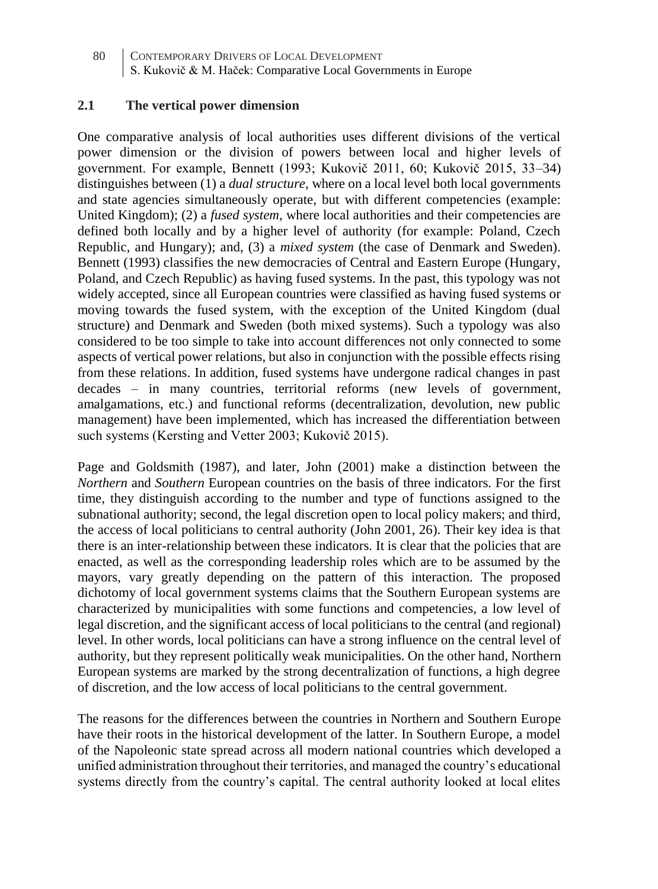## **2.1 The vertical power dimension**

One comparative analysis of local authorities uses different divisions of the vertical power dimension or the division of powers between local and higher levels of government. For example, Bennett (1993; Kukovič 2011, 60; Kukovič 2015, 33–34) distinguishes between (1) a *dual structure,* where on a local level both local governments and state agencies simultaneously operate, but with different competencies (example: United Kingdom); (2) a *fused system,* where local authorities and their competencies are defined both locally and by a higher level of authority (for example: Poland, Czech Republic, and Hungary); and, (3) a *mixed system* (the case of Denmark and Sweden). Bennett (1993) classifies the new democracies of Central and Eastern Europe (Hungary, Poland, and Czech Republic) as having fused systems. In the past, this typology was not widely accepted, since all European countries were classified as having fused systems or moving towards the fused system, with the exception of the United Kingdom (dual structure) and Denmark and Sweden (both mixed systems). Such a typology was also considered to be too simple to take into account differences not only connected to some aspects of vertical power relations, but also in conjunction with the possible effects rising from these relations. In addition, fused systems have undergone radical changes in past decades – in many countries, territorial reforms (new levels of government, amalgamations, etc.) and functional reforms (decentralization, devolution, new public management) have been implemented, which has increased the differentiation between such systems (Kersting and Vetter 2003; Kukovič 2015).

Page and Goldsmith (1987), and later, John (2001) make a distinction between the *Northern* and *Southern* European countries on the basis of three indicators. For the first time, they distinguish according to the number and type of functions assigned to the subnational authority; second, the legal discretion open to local policy makers; and third, the access of local politicians to central authority (John 2001, 26). Their key idea is that there is an inter-relationship between these indicators. It is clear that the policies that are enacted, as well as the corresponding leadership roles which are to be assumed by the mayors, vary greatly depending on the pattern of this interaction. The proposed dichotomy of local government systems claims that the Southern European systems are characterized by municipalities with some functions and competencies, a low level of legal discretion, and the significant access of local politicians to the central (and regional) level. In other words, local politicians can have a strong influence on the central level of authority, but they represent politically weak municipalities. On the other hand, Northern European systems are marked by the strong decentralization of functions, a high degree of discretion, and the low access of local politicians to the central government.

The reasons for the differences between the countries in Northern and Southern Europe have their roots in the historical development of the latter. In Southern Europe, a model of the Napoleonic state spread across all modern national countries which developed a unified administration throughout their territories, and managed the country's educational systems directly from the country's capital. The central authority looked at local elites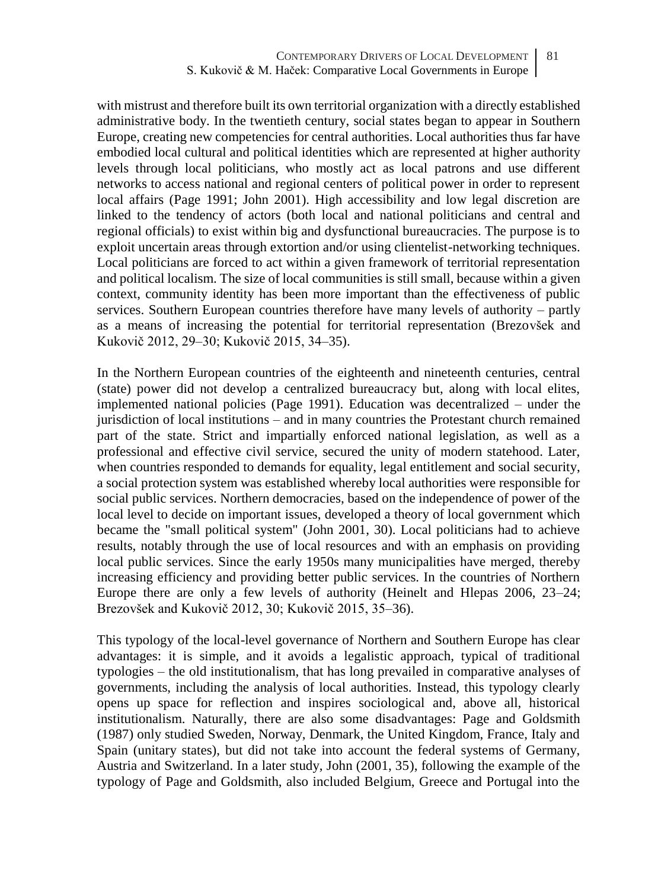with mistrust and therefore built its own territorial organization with a directly established administrative body. In the twentieth century, social states began to appear in Southern Europe, creating new competencies for central authorities. Local authorities thus far have embodied local cultural and political identities which are represented at higher authority levels through local politicians, who mostly act as local patrons and use different networks to access national and regional centers of political power in order to represent local affairs (Page 1991; John 2001). High accessibility and low legal discretion are linked to the tendency of actors (both local and national politicians and central and regional officials) to exist within big and dysfunctional bureaucracies. The purpose is to exploit uncertain areas through extortion and/or using clientelist-networking techniques. Local politicians are forced to act within a given framework of territorial representation and political localism. The size of local communities is still small, because within a given context, community identity has been more important than the effectiveness of public services. Southern European countries therefore have many levels of authority – partly as a means of increasing the potential for territorial representation (Brezovšek and Kukovič 2012, 29–30; Kukovič 2015, 34–35).

In the Northern European countries of the eighteenth and nineteenth centuries, central (state) power did not develop a centralized bureaucracy but, along with local elites, implemented national policies (Page 1991). Education was decentralized – under the jurisdiction of local institutions – and in many countries the Protestant church remained part of the state. Strict and impartially enforced national legislation, as well as a professional and effective civil service, secured the unity of modern statehood. Later, when countries responded to demands for equality, legal entitlement and social security, a social protection system was established whereby local authorities were responsible for social public services. Northern democracies, based on the independence of power of the local level to decide on important issues, developed a theory of local government which became the "small political system" (John 2001, 30). Local politicians had to achieve results, notably through the use of local resources and with an emphasis on providing local public services. Since the early 1950s many municipalities have merged, thereby increasing efficiency and providing better public services. In the countries of Northern Europe there are only a few levels of authority (Heinelt and Hlepas 2006, 23–24; Brezovšek and Kukovič 2012, 30; Kukovič 2015, 35–36).

This typology of the local-level governance of Northern and Southern Europe has clear advantages: it is simple, and it avoids a legalistic approach, typical of traditional typologies – the old institutionalism, that has long prevailed in comparative analyses of governments, including the analysis of local authorities. Instead, this typology clearly opens up space for reflection and inspires sociological and, above all, historical institutionalism. Naturally, there are also some disadvantages: Page and Goldsmith (1987) only studied Sweden, Norway, Denmark, the United Kingdom, France, Italy and Spain (unitary states), but did not take into account the federal systems of Germany, Austria and Switzerland. In a later study, John (2001, 35), following the example of the typology of Page and Goldsmith, also included Belgium, Greece and Portugal into the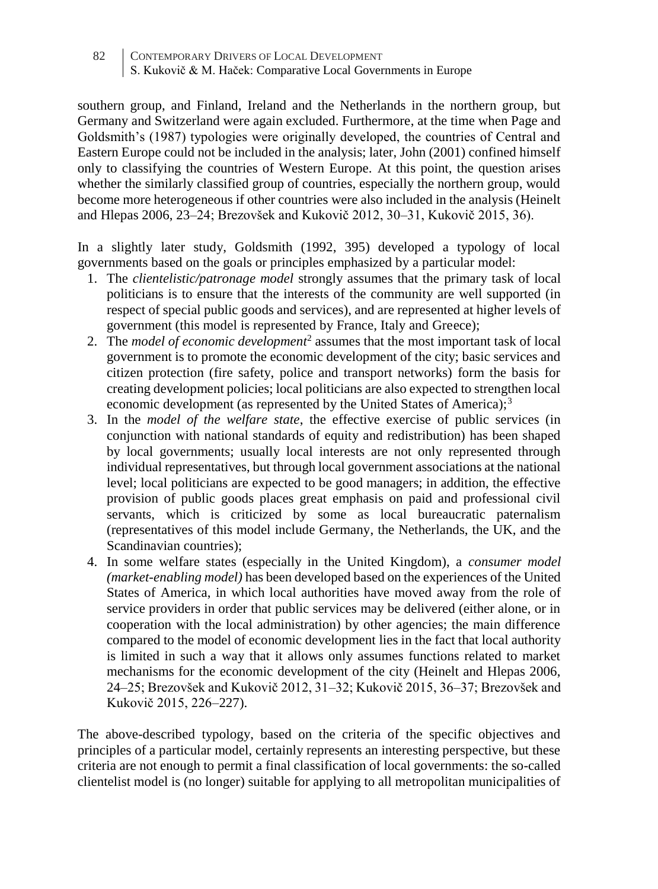southern group, and Finland, Ireland and the Netherlands in the northern group, but Germany and Switzerland were again excluded. Furthermore, at the time when Page and Goldsmith's (1987) typologies were originally developed, the countries of Central and Eastern Europe could not be included in the analysis; later, John (2001) confined himself only to classifying the countries of Western Europe. At this point, the question arises whether the similarly classified group of countries, especially the northern group, would become more heterogeneous if other countries were also included in the analysis (Heinelt and Hlepas 2006, 23–24; Brezovšek and Kukovič 2012, 30–31, Kukovič 2015, 36).

In a slightly later study, Goldsmith (1992, 395) developed a typology of local governments based on the goals or principles emphasized by a particular model:

- 1. The *clientelistic/patronage model* strongly assumes that the primary task of local politicians is to ensure that the interests of the community are well supported (in respect of special public goods and services), and are represented at higher levels of government (this model is represented by France, Italy and Greece);
- 2. The *model of economic development*<sup>2</sup> assumes that the most important task of local government is to promote the economic development of the city; basic services and citizen protection (fire safety, police and transport networks) form the basis for creating development policies; local politicians are also expected to strengthen local economic development (as represented by the United States of America);<sup>3</sup>
- 3. In the *model of the welfare state*, the effective exercise of public services (in conjunction with national standards of equity and redistribution) has been shaped by local governments; usually local interests are not only represented through individual representatives, but through local government associations at the national level; local politicians are expected to be good managers; in addition, the effective provision of public goods places great emphasis on paid and professional civil servants, which is criticized by some as local bureaucratic paternalism (representatives of this model include Germany, the Netherlands, the UK, and the Scandinavian countries);
- 4. In some welfare states (especially in the United Kingdom), a *consumer model (market-enabling model)* has been developed based on the experiences of the United States of America, in which local authorities have moved away from the role of service providers in order that public services may be delivered (either alone, or in cooperation with the local administration) by other agencies; the main difference compared to the model of economic development lies in the fact that local authority is limited in such a way that it allows only assumes functions related to market mechanisms for the economic development of the city (Heinelt and Hlepas 2006, 24–25; Brezovšek and Kukovič 2012, 31–32; Kukovič 2015, 36–37; Brezovšek and Kukovič 2015, 226–227).

The above-described typology, based on the criteria of the specific objectives and principles of a particular model, certainly represents an interesting perspective, but these criteria are not enough to permit a final classification of local governments: the so-called clientelist model is (no longer) suitable for applying to all metropolitan municipalities of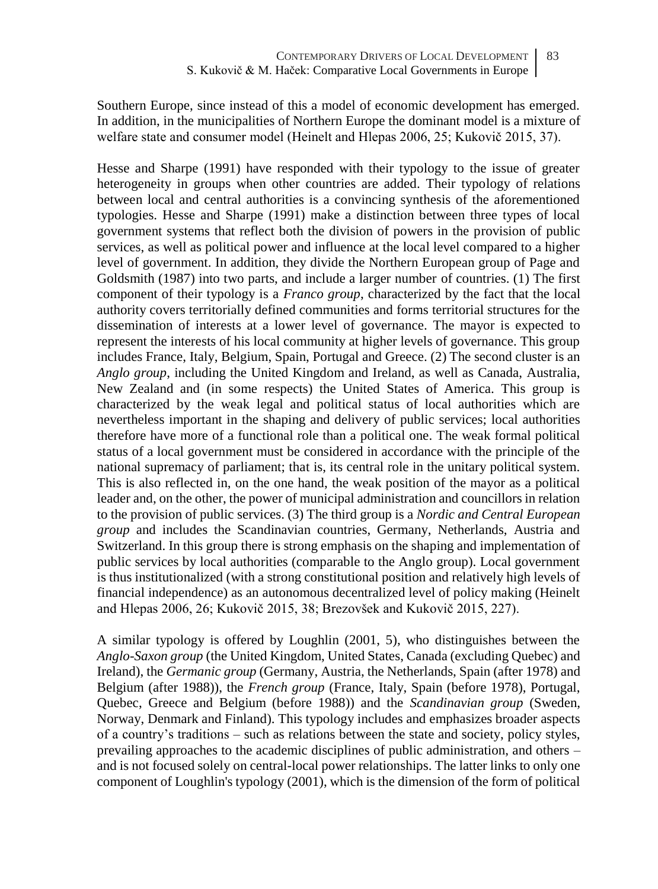Southern Europe, since instead of this a model of economic development has emerged. In addition, in the municipalities of Northern Europe the dominant model is a mixture of welfare state and consumer model (Heinelt and Hlepas 2006, 25; Kukovič 2015, 37).

Hesse and Sharpe (1991) have responded with their typology to the issue of greater heterogeneity in groups when other countries are added. Their typology of relations between local and central authorities is a convincing synthesis of the aforementioned typologies. Hesse and Sharpe (1991) make a distinction between three types of local government systems that reflect both the division of powers in the provision of public services, as well as political power and influence at the local level compared to a higher level of government. In addition, they divide the Northern European group of Page and Goldsmith (1987) into two parts, and include a larger number of countries. (1) The first component of their typology is a *Franco group*, characterized by the fact that the local authority covers territorially defined communities and forms territorial structures for the dissemination of interests at a lower level of governance. The mayor is expected to represent the interests of his local community at higher levels of governance. This group includes France, Italy, Belgium, Spain, Portugal and Greece. (2) The second cluster is an *Anglo group*, including the United Kingdom and Ireland, as well as Canada, Australia, New Zealand and (in some respects) the United States of America. This group is characterized by the weak legal and political status of local authorities which are nevertheless important in the shaping and delivery of public services; local authorities therefore have more of a functional role than a political one. The weak formal political status of a local government must be considered in accordance with the principle of the national supremacy of parliament; that is, its central role in the unitary political system. This is also reflected in, on the one hand, the weak position of the mayor as a political leader and, on the other, the power of municipal administration and councillors in relation to the provision of public services. (3) The third group is a *Nordic and Central European group* and includes the Scandinavian countries, Germany, Netherlands, Austria and Switzerland. In this group there is strong emphasis on the shaping and implementation of public services by local authorities (comparable to the Anglo group). Local government is thus institutionalized (with a strong constitutional position and relatively high levels of financial independence) as an autonomous decentralized level of policy making (Heinelt and Hlepas 2006, 26; Kukovič 2015, 38; Brezovšek and Kukovič 2015, 227).

A similar typology is offered by Loughlin (2001, 5), who distinguishes between the *Anglo-Saxon group* (the United Kingdom, United States, Canada (excluding Quebec) and Ireland), the *Germanic group* (Germany, Austria, the Netherlands, Spain (after 1978) and Belgium (after 1988)), the *French group* (France, Italy, Spain (before 1978), Portugal, Quebec, Greece and Belgium (before 1988)) and the *Scandinavian group* (Sweden, Norway, Denmark and Finland). This typology includes and emphasizes broader aspects of a country's traditions – such as relations between the state and society, policy styles, prevailing approaches to the academic disciplines of public administration, and others – and is not focused solely on central-local power relationships. The latter links to only one component of Loughlin's typology (2001), which is the dimension of the form of political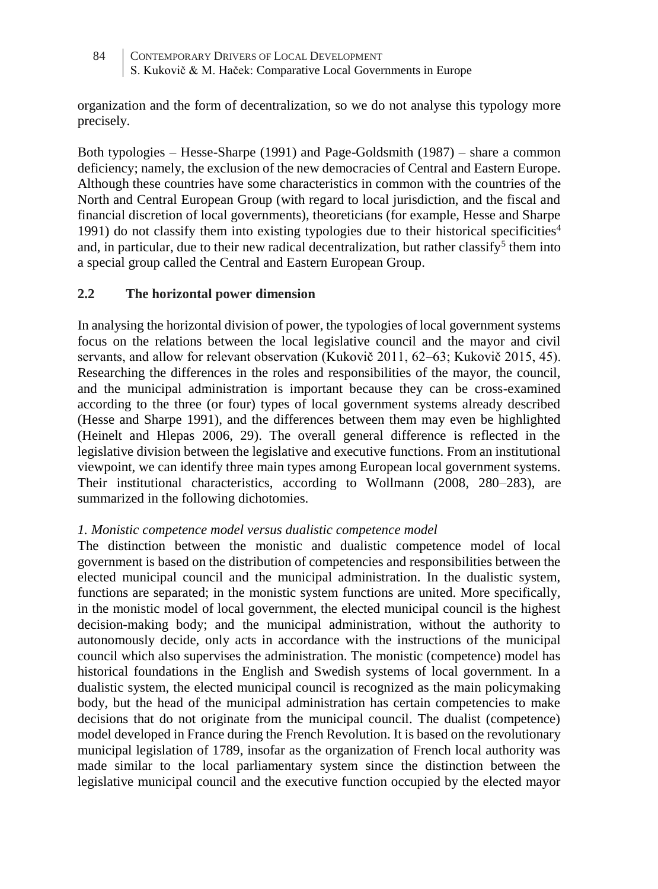organization and the form of decentralization, so we do not analyse this typology more precisely.

Both typologies – Hesse-Sharpe (1991) and Page-Goldsmith (1987) – share a common deficiency; namely, the exclusion of the new democracies of Central and Eastern Europe. Although these countries have some characteristics in common with the countries of the North and Central European Group (with regard to local jurisdiction, and the fiscal and financial discretion of local governments), theoreticians (for example, Hesse and Sharpe 1991) do not classify them into existing typologies due to their historical specificities<sup>4</sup> and, in particular, due to their new radical decentralization, but rather classify<sup>5</sup> them into a special group called the Central and Eastern European Group.

# **2.2 The horizontal power dimension**

In analysing the horizontal division of power, the typologies of local government systems focus on the relations between the local legislative council and the mayor and civil servants, and allow for relevant observation (Kukovič 2011, 62–63; Kukovič 2015, 45). Researching the differences in the roles and responsibilities of the mayor, the council, and the municipal administration is important because they can be cross-examined according to the three (or four) types of local government systems already described (Hesse and Sharpe 1991), and the differences between them may even be highlighted (Heinelt and Hlepas 2006, 29). The overall general difference is reflected in the legislative division between the legislative and executive functions. From an institutional viewpoint, we can identify three main types among European local government systems. Their institutional characteristics, according to Wollmann (2008, 280–283), are summarized in the following dichotomies.

# *1. Monistic competence model versus dualistic competence model*

The distinction between the monistic and dualistic competence model of local government is based on the distribution of competencies and responsibilities between the elected municipal council and the municipal administration. In the dualistic system, functions are separated; in the monistic system functions are united. More specifically, in the monistic model of local government, the elected municipal council is the highest decision-making body; and the municipal administration, without the authority to autonomously decide, only acts in accordance with the instructions of the municipal council which also supervises the administration. The monistic (competence) model has historical foundations in the English and Swedish systems of local government. In a dualistic system, the elected municipal council is recognized as the main policymaking body, but the head of the municipal administration has certain competencies to make decisions that do not originate from the municipal council. The dualist (competence) model developed in France during the French Revolution. It is based on the revolutionary municipal legislation of 1789, insofar as the organization of French local authority was made similar to the local parliamentary system since the distinction between the legislative municipal council and the executive function occupied by the elected mayor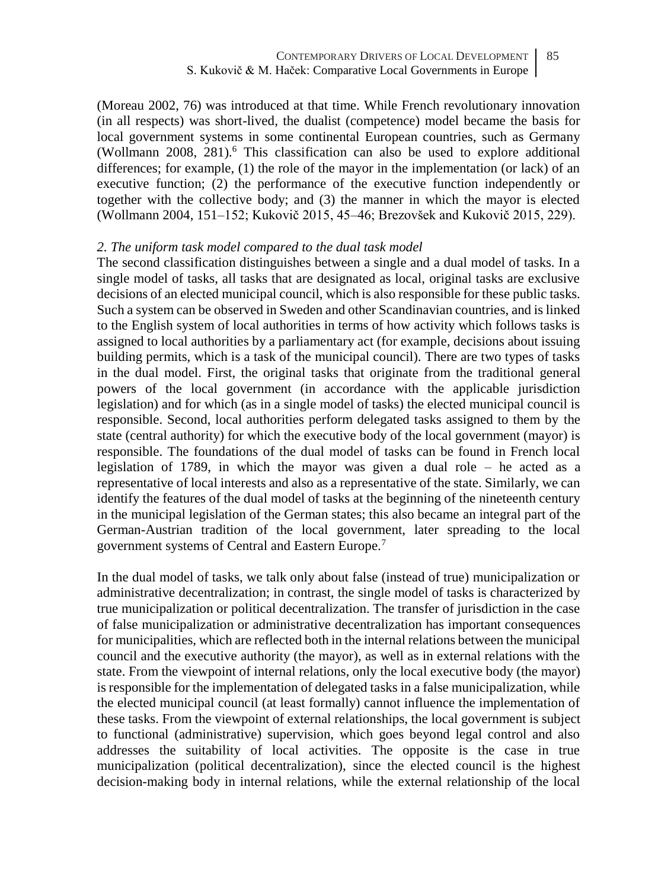(Moreau 2002, 76) was introduced at that time. While French revolutionary innovation (in all respects) was short-lived, the dualist (competence) model became the basis for local government systems in some continental European countries, such as Germany (Wollmann  $2008$ ,  $281$ ).<sup>6</sup> This classification can also be used to explore additional differences; for example, (1) the role of the mayor in the implementation (or lack) of an executive function; (2) the performance of the executive function independently or together with the collective body; and (3) the manner in which the mayor is elected (Wollmann 2004, 151–152; Kukovič 2015, 45–46; Brezovšek and Kukovič 2015, 229).

#### *2. The uniform task model compared to the dual task model*

The second classification distinguishes between a single and a dual model of tasks. In a single model of tasks, all tasks that are designated as local, original tasks are exclusive decisions of an elected municipal council, which is also responsible for these public tasks. Such a system can be observed in Sweden and other Scandinavian countries, and is linked to the English system of local authorities in terms of how activity which follows tasks is assigned to local authorities by a parliamentary act (for example, decisions about issuing building permits, which is a task of the municipal council). There are two types of tasks in the dual model. First, the original tasks that originate from the traditional general powers of the local government (in accordance with the applicable jurisdiction legislation) and for which (as in a single model of tasks) the elected municipal council is responsible. Second, local authorities perform delegated tasks assigned to them by the state (central authority) for which the executive body of the local government (mayor) is responsible. The foundations of the dual model of tasks can be found in French local legislation of 1789, in which the mayor was given a dual role – he acted as a representative of local interests and also as a representative of the state. Similarly, we can identify the features of the dual model of tasks at the beginning of the nineteenth century in the municipal legislation of the German states; this also became an integral part of the German-Austrian tradition of the local government, later spreading to the local government systems of Central and Eastern Europe.<sup>7</sup>

In the dual model of tasks, we talk only about false (instead of true) municipalization or administrative decentralization; in contrast, the single model of tasks is characterized by true municipalization or political decentralization. The transfer of jurisdiction in the case of false municipalization or administrative decentralization has important consequences for municipalities, which are reflected both in the internal relations between the municipal council and the executive authority (the mayor), as well as in external relations with the state. From the viewpoint of internal relations, only the local executive body (the mayor) is responsible for the implementation of delegated tasks in a false municipalization, while the elected municipal council (at least formally) cannot influence the implementation of these tasks. From the viewpoint of external relationships, the local government is subject to functional (administrative) supervision, which goes beyond legal control and also addresses the suitability of local activities. The opposite is the case in true municipalization (political decentralization), since the elected council is the highest decision-making body in internal relations, while the external relationship of the local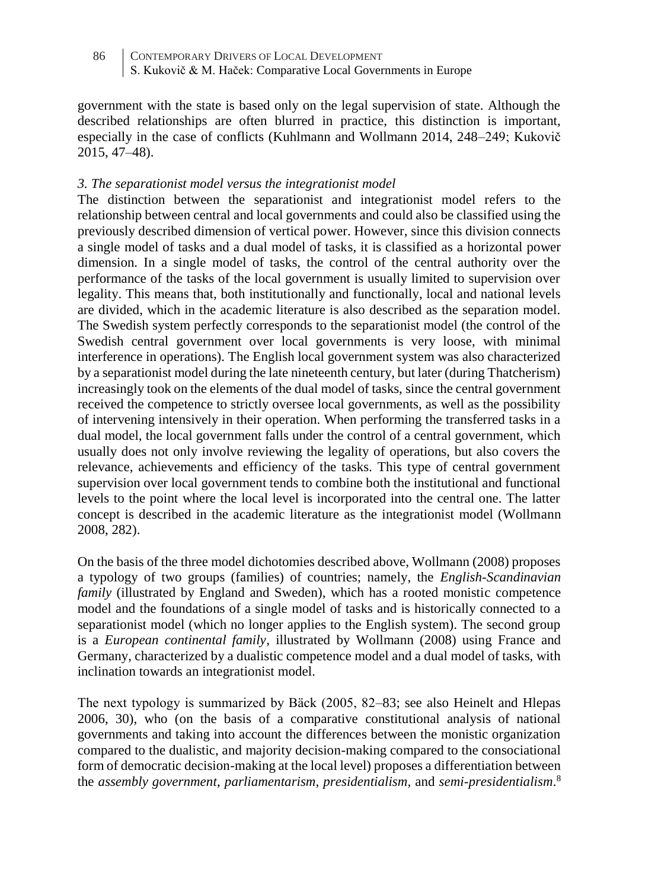government with the state is based only on the legal supervision of state. Although the described relationships are often blurred in practice, this distinction is important, especially in the case of conflicts (Kuhlmann and Wollmann 2014, 248–249; Kukovič 2015, 47–48).

## *3. The separationist model versus the integrationist model*

The distinction between the separationist and integrationist model refers to the relationship between central and local governments and could also be classified using the previously described dimension of vertical power. However, since this division connects a single model of tasks and a dual model of tasks, it is classified as a horizontal power dimension. In a single model of tasks, the control of the central authority over the performance of the tasks of the local government is usually limited to supervision over legality. This means that, both institutionally and functionally, local and national levels are divided, which in the academic literature is also described as the separation model. The Swedish system perfectly corresponds to the separationist model (the control of the Swedish central government over local governments is very loose, with minimal interference in operations). The English local government system was also characterized by a separationist model during the late nineteenth century, but later (during Thatcherism) increasingly took on the elements of the dual model of tasks, since the central government received the competence to strictly oversee local governments, as well as the possibility of intervening intensively in their operation. When performing the transferred tasks in a dual model, the local government falls under the control of a central government, which usually does not only involve reviewing the legality of operations, but also covers the relevance, achievements and efficiency of the tasks. This type of central government supervision over local government tends to combine both the institutional and functional levels to the point where the local level is incorporated into the central one. The latter concept is described in the academic literature as the integrationist model (Wollmann 2008, 282).

On the basis of the three model dichotomies described above, Wollmann (2008) proposes a typology of two groups (families) of countries; namely, the *English-Scandinavian family* (illustrated by England and Sweden), which has a rooted monistic competence model and the foundations of a single model of tasks and is historically connected to a separationist model (which no longer applies to the English system). The second group is a *European continental family*, illustrated by Wollmann (2008) using France and Germany, characterized by a dualistic competence model and a dual model of tasks, with inclination towards an integrationist model.

The next typology is summarized by Bäck (2005, 82–83; see also Heinelt and Hlepas 2006, 30), who (on the basis of a comparative constitutional analysis of national governments and taking into account the differences between the monistic organization compared to the dualistic, and majority decision-making compared to the consociational form of democratic decision-making at the local level) proposes a differentiation between the *assembly government*, *parliamentarism*, *presidentialism,* and *semi-presidentialism*. 8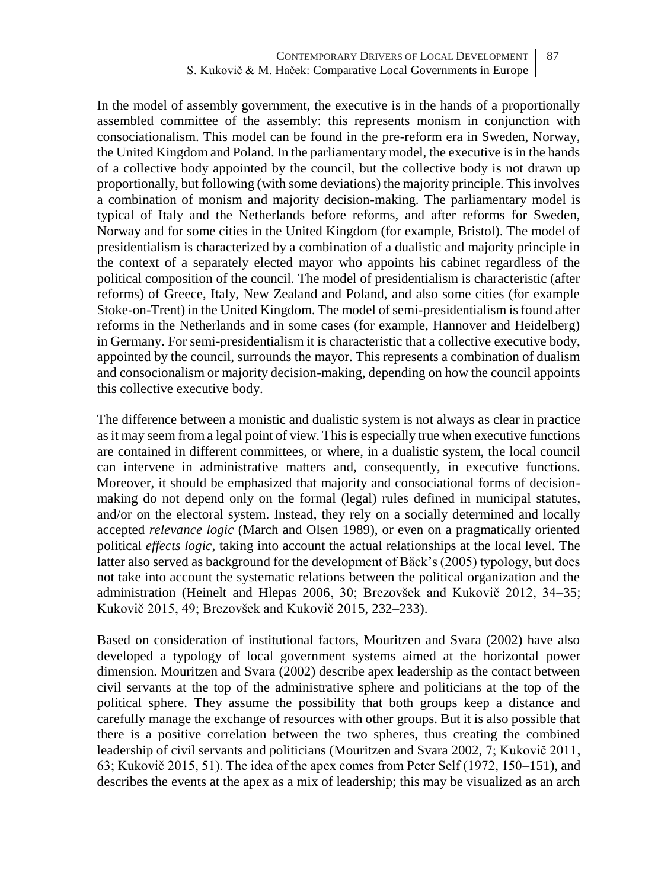In the model of assembly government, the executive is in the hands of a proportionally assembled committee of the assembly: this represents monism in conjunction with consociationalism. This model can be found in the pre-reform era in Sweden, Norway, the United Kingdom and Poland. In the parliamentary model, the executive is in the hands of a collective body appointed by the council, but the collective body is not drawn up proportionally, but following (with some deviations) the majority principle. This involves a combination of monism and majority decision-making. The parliamentary model is typical of Italy and the Netherlands before reforms, and after reforms for Sweden, Norway and for some cities in the United Kingdom (for example, Bristol). The model of presidentialism is characterized by a combination of a dualistic and majority principle in the context of a separately elected mayor who appoints his cabinet regardless of the political composition of the council. The model of presidentialism is characteristic (after reforms) of Greece, Italy, New Zealand and Poland, and also some cities (for example Stoke-on-Trent) in the United Kingdom. The model of semi-presidentialism is found after reforms in the Netherlands and in some cases (for example, Hannover and Heidelberg) in Germany. For semi-presidentialism it is characteristic that a collective executive body, appointed by the council, surrounds the mayor. This represents a combination of dualism and consocionalism or majority decision-making, depending on how the council appoints this collective executive body.

The difference between a monistic and dualistic system is not always as clear in practice as it may seem from a legal point of view. This is especially true when executive functions are contained in different committees, or where, in a dualistic system, the local council can intervene in administrative matters and, consequently, in executive functions. Moreover, it should be emphasized that majority and consociational forms of decisionmaking do not depend only on the formal (legal) rules defined in municipal statutes, and/or on the electoral system. Instead, they rely on a socially determined and locally accepted *relevance logic* (March and Olsen 1989), or even on a pragmatically oriented political *effects logic*, taking into account the actual relationships at the local level. The latter also served as background for the development of Bäck's (2005) typology, but does not take into account the systematic relations between the political organization and the administration (Heinelt and Hlepas 2006, 30; Brezovšek and Kukovič 2012, 34–35; Kukovič 2015, 49; Brezovšek and Kukovič 2015, 232–233).

Based on consideration of institutional factors, Mouritzen and Svara (2002) have also developed a typology of local government systems aimed at the horizontal power dimension. Mouritzen and Svara (2002) describe apex leadership as the contact between civil servants at the top of the administrative sphere and politicians at the top of the political sphere. They assume the possibility that both groups keep a distance and carefully manage the exchange of resources with other groups. But it is also possible that there is a positive correlation between the two spheres, thus creating the combined leadership of civil servants and politicians (Mouritzen and Svara 2002, 7; Kukovič 2011, 63; Kukovič 2015, 51). The idea of the apex comes from Peter Self (1972, 150–151), and describes the events at the apex as a mix of leadership; this may be visualized as an arch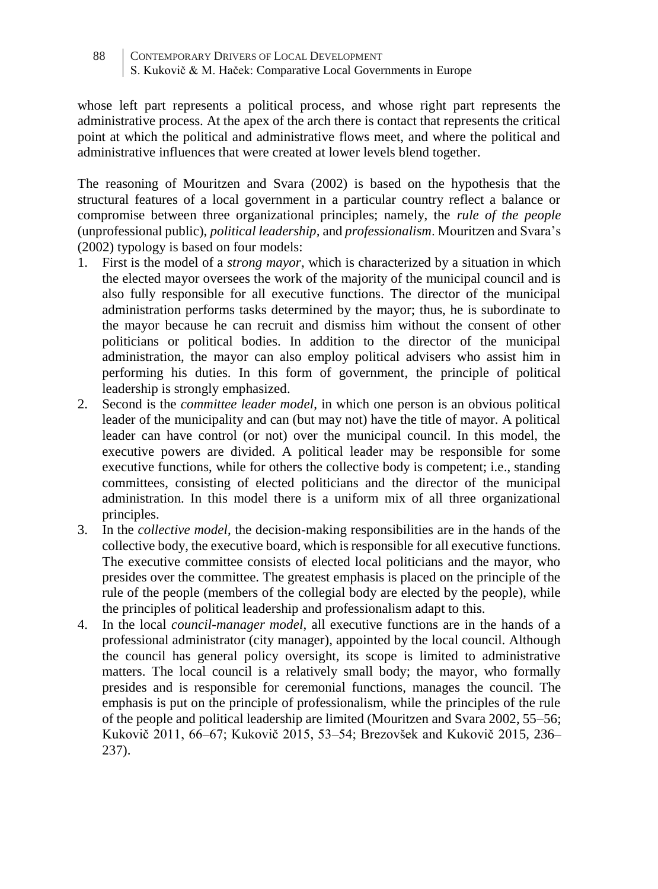whose left part represents a political process, and whose right part represents the administrative process. At the apex of the arch there is contact that represents the critical point at which the political and administrative flows meet, and where the political and administrative influences that were created at lower levels blend together.

The reasoning of Mouritzen and Svara (2002) is based on the hypothesis that the structural features of a local government in a particular country reflect a balance or compromise between three organizational principles; namely, the *rule of the people* (unprofessional public), *political leadership,* and *professionalism*. Mouritzen and Svara's (2002) typology is based on four models:

- 1. First is the model of a *strong mayor*, which is characterized by a situation in which the elected mayor oversees the work of the majority of the municipal council and is also fully responsible for all executive functions. The director of the municipal administration performs tasks determined by the mayor; thus, he is subordinate to the mayor because he can recruit and dismiss him without the consent of other politicians or political bodies. In addition to the director of the municipal administration, the mayor can also employ political advisers who assist him in performing his duties. In this form of government, the principle of political leadership is strongly emphasized.
- 2. Second is the *committee leader model*, in which one person is an obvious political leader of the municipality and can (but may not) have the title of mayor. A political leader can have control (or not) over the municipal council. In this model, the executive powers are divided. A political leader may be responsible for some executive functions, while for others the collective body is competent; i.e., standing committees, consisting of elected politicians and the director of the municipal administration. In this model there is a uniform mix of all three organizational principles.
- 3. In the *collective model*, the decision-making responsibilities are in the hands of the collective body, the executive board, which is responsible for all executive functions. The executive committee consists of elected local politicians and the mayor, who presides over the committee. The greatest emphasis is placed on the principle of the rule of the people (members of the collegial body are elected by the people), while the principles of political leadership and professionalism adapt to this.
- 4. In the local *council-manager model*, all executive functions are in the hands of a professional administrator (city manager), appointed by the local council. Although the council has general policy oversight, its scope is limited to administrative matters. The local council is a relatively small body; the mayor, who formally presides and is responsible for ceremonial functions, manages the council. The emphasis is put on the principle of professionalism, while the principles of the rule of the people and political leadership are limited (Mouritzen and Svara 2002, 55–56; Kukovič 2011, 66–67; Kukovič 2015, 53–54; Brezovšek and Kukovič 2015, 236– 237).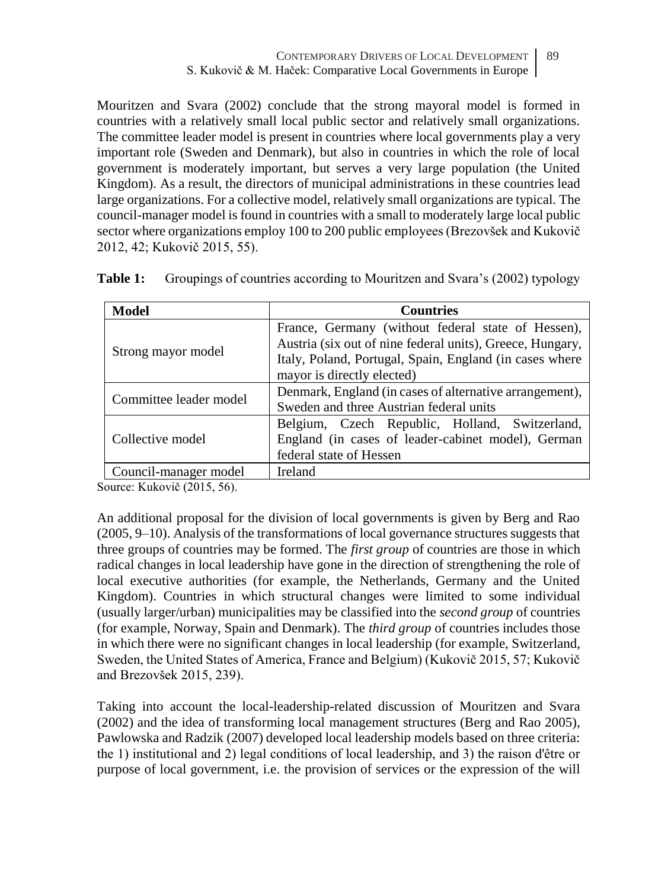Mouritzen and Svara (2002) conclude that the strong mayoral model is formed in countries with a relatively small local public sector and relatively small organizations. The committee leader model is present in countries where local governments play a very important role (Sweden and Denmark), but also in countries in which the role of local government is moderately important, but serves a very large population (the United Kingdom). As a result, the directors of municipal administrations in these countries lead large organizations. For a collective model, relatively small organizations are typical. The council-manager model is found in countries with a small to moderately large local public sector where organizations employ 100 to 200 public employees (Brezovšek and Kukovič 2012, 42; Kukovič 2015, 55).

| <b>Model</b>           | <b>Countries</b>                                                                                                                                                                                         |
|------------------------|----------------------------------------------------------------------------------------------------------------------------------------------------------------------------------------------------------|
| Strong mayor model     | France, Germany (without federal state of Hessen),<br>Austria (six out of nine federal units), Greece, Hungary,<br>Italy, Poland, Portugal, Spain, England (in cases where<br>mayor is directly elected) |
| Committee leader model | Denmark, England (in cases of alternative arrangement),<br>Sweden and three Austrian federal units                                                                                                       |
| Collective model       | Belgium, Czech Republic, Holland, Switzerland,<br>England (in cases of leader-cabinet model), German<br>federal state of Hessen                                                                          |
| Council-manager model  | Ireland                                                                                                                                                                                                  |

**Table 1:** Groupings of countries according to Mouritzen and Svara's (2002) typology

Source: Kukovič (2015, 56).

An additional proposal for the division of local governments is given by Berg and Rao (2005, 9–10). Analysis of the transformations of local governance structures suggests that three groups of countries may be formed. The *first group* of countries are those in which radical changes in local leadership have gone in the direction of strengthening the role of local executive authorities (for example, the Netherlands, Germany and the United Kingdom). Countries in which structural changes were limited to some individual (usually larger/urban) municipalities may be classified into the *second group* of countries (for example, Norway, Spain and Denmark). The *third group* of countries includes those in which there were no significant changes in local leadership (for example, Switzerland, Sweden, the United States of America, France and Belgium) (Kukovič 2015, 57; Kukovič and Brezovšek 2015, 239).

Taking into account the local-leadership-related discussion of Mouritzen and Svara (2002) and the idea of transforming local management structures (Berg and Rao 2005), Pawlowska and Radzik (2007) developed local leadership models based on three criteria: the 1) institutional and 2) legal conditions of local leadership, and 3) the raison d'être or purpose of local government, i.e. the provision of services or the expression of the will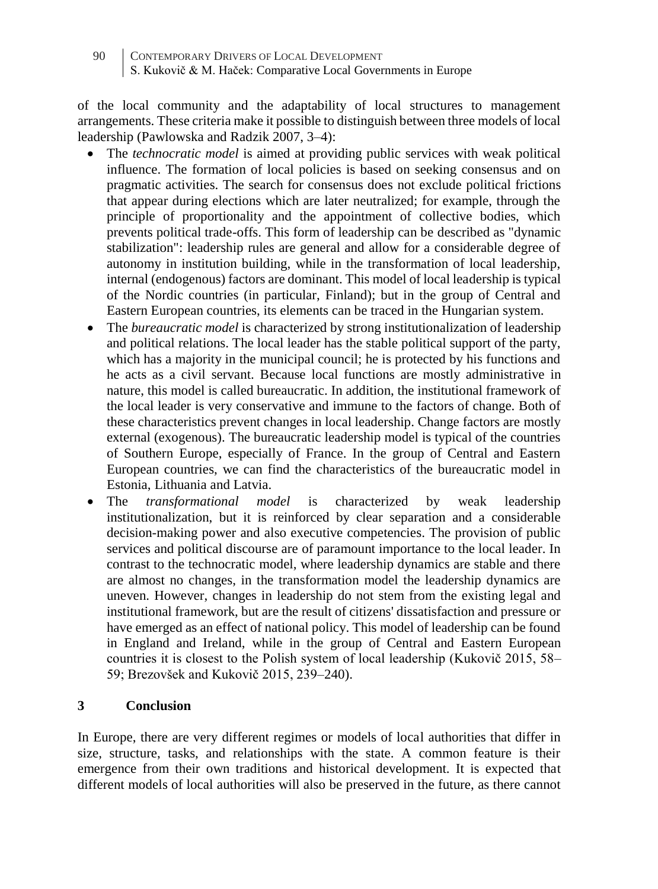of the local community and the adaptability of local structures to management arrangements. These criteria make it possible to distinguish between three models of local leadership (Pawlowska and Radzik 2007, 3–4):

- The *technocratic model* is aimed at providing public services with weak political influence. The formation of local policies is based on seeking consensus and on pragmatic activities. The search for consensus does not exclude political frictions that appear during elections which are later neutralized; for example, through the principle of proportionality and the appointment of collective bodies, which prevents political trade-offs. This form of leadership can be described as "dynamic stabilization": leadership rules are general and allow for a considerable degree of autonomy in institution building, while in the transformation of local leadership, internal (endogenous) factors are dominant. This model of local leadership is typical of the Nordic countries (in particular, Finland); but in the group of Central and Eastern European countries, its elements can be traced in the Hungarian system.
- The *bureaucratic model* is characterized by strong institutionalization of leadership and political relations. The local leader has the stable political support of the party, which has a majority in the municipal council; he is protected by his functions and he acts as a civil servant. Because local functions are mostly administrative in nature, this model is called bureaucratic. In addition, the institutional framework of the local leader is very conservative and immune to the factors of change. Both of these characteristics prevent changes in local leadership. Change factors are mostly external (exogenous). The bureaucratic leadership model is typical of the countries of Southern Europe, especially of France. In the group of Central and Eastern European countries, we can find the characteristics of the bureaucratic model in Estonia, Lithuania and Latvia.
- The *transformational model* is characterized by weak leadership institutionalization, but it is reinforced by clear separation and a considerable decision-making power and also executive competencies. The provision of public services and political discourse are of paramount importance to the local leader. In contrast to the technocratic model, where leadership dynamics are stable and there are almost no changes, in the transformation model the leadership dynamics are uneven. However, changes in leadership do not stem from the existing legal and institutional framework, but are the result of citizens' dissatisfaction and pressure or have emerged as an effect of national policy. This model of leadership can be found in England and Ireland, while in the group of Central and Eastern European countries it is closest to the Polish system of local leadership (Kukovič 2015, 58– 59; Brezovšek and Kukovič 2015, 239–240).

# **3 Conclusion**

In Europe, there are very different regimes or models of local authorities that differ in size, structure, tasks, and relationships with the state. A common feature is their emergence from their own traditions and historical development. It is expected that different models of local authorities will also be preserved in the future, as there cannot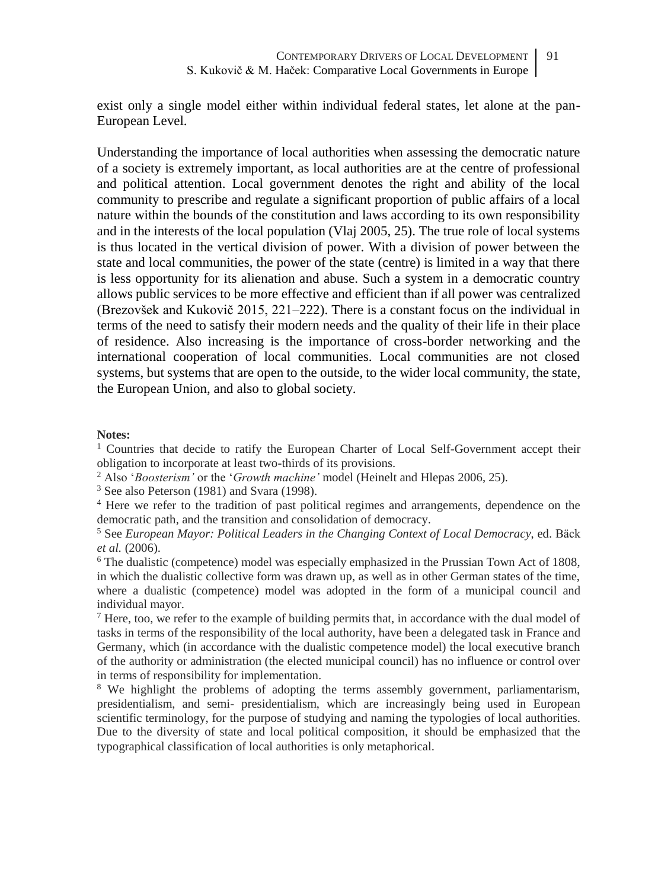exist only a single model either within individual federal states, let alone at the pan-European Level.

Understanding the importance of local authorities when assessing the democratic nature of a society is extremely important, as local authorities are at the centre of professional and political attention. Local government denotes the right and ability of the local community to prescribe and regulate a significant proportion of public affairs of a local nature within the bounds of the constitution and laws according to its own responsibility and in the interests of the local population (Vlaj 2005, 25). The true role of local systems is thus located in the vertical division of power. With a division of power between the state and local communities, the power of the state (centre) is limited in a way that there is less opportunity for its alienation and abuse. Such a system in a democratic country allows public services to be more effective and efficient than if all power was centralized (Brezovšek and Kukovič 2015, 221–222). There is a constant focus on the individual in terms of the need to satisfy their modern needs and the quality of their life in their place of residence. Also increasing is the importance of cross-border networking and the international cooperation of local communities. Local communities are not closed systems, but systems that are open to the outside, to the wider local community, the state, the European Union, and also to global society.

#### **Notes:**

<sup>1</sup> Countries that decide to ratify the European Charter of Local Self-Government accept their obligation to incorporate at least two-thirds of its provisions.

<sup>2</sup> Also '*Boosterism'* or the '*Growth machine'* model (Heinelt and Hlepas 2006, 25).

<sup>3</sup> See also Peterson (1981) and Svara (1998).

<sup>4</sup> Here we refer to the tradition of past political regimes and arrangements, dependence on the democratic path, and the transition and consolidation of democracy.

<sup>5</sup> See *European Mayor: Political Leaders in the Changing Context of Local Democracy*, ed. Bäck *et al.* (2006).

<sup>6</sup> The dualistic (competence) model was especially emphasized in the Prussian Town Act of 1808, in which the dualistic collective form was drawn up, as well as in other German states of the time, where a dualistic (competence) model was adopted in the form of a municipal council and individual mayor.

 $<sup>7</sup>$  Here, too, we refer to the example of building permits that, in accordance with the dual model of</sup> tasks in terms of the responsibility of the local authority, have been a delegated task in France and Germany, which (in accordance with the dualistic competence model) the local executive branch of the authority or administration (the elected municipal council) has no influence or control over in terms of responsibility for implementation.

<sup>8</sup> We highlight the problems of adopting the terms assembly government, parliamentarism, presidentialism, and semi- presidentialism, which are increasingly being used in European scientific terminology, for the purpose of studying and naming the typologies of local authorities. Due to the diversity of state and local political composition, it should be emphasized that the typographical classification of local authorities is only metaphorical.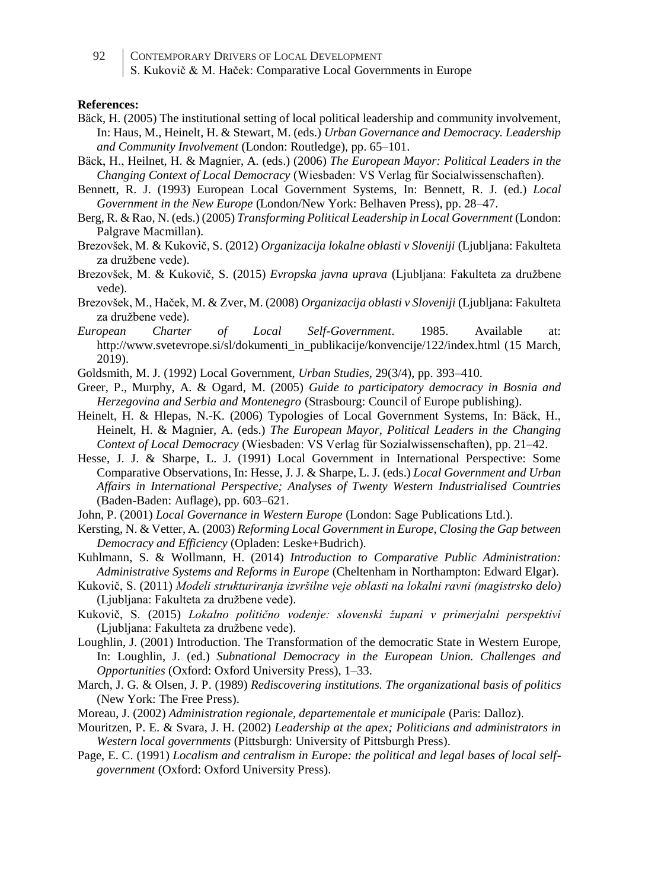#### **References:**

- Bäck, H. (2005) The institutional setting of local political leadership and community involvement, In: Haus, M., Heinelt, H. & Stewart, M. (eds.) *Urban Governance and Democracy. Leadership and Community Involvement* (London: Routledge), pp. 65–101.
- Bäck, H., Heilnet, H. & Magnier, A. (eds.) (2006) *The European Mayor: Political Leaders in the Changing Context of Local Democracy* (Wiesbaden: VS Verlag für Socialwissenschaften).
- Bennett, R. J. (1993) European Local Government Systems, In: Bennett, R. J. (ed.) *Local Government in the New Europe* (London/New York: Belhaven Press), pp. 28–47.
- Berg, R. & Rao, N. (eds.) (2005) *Transforming Political Leadership in Local Government* (London: Palgrave Macmillan).
- Brezovšek, M. & Kukovič, S. (2012) *Organizacija lokalne oblasti v Sloveniji* (Ljubljana: Fakulteta za družbene vede).
- Brezovšek, M. & Kukovič, S. (2015) *Evropska javna uprava* (Ljubljana: Fakulteta za družbene vede).
- Brezovšek, M., Haček, M. & Zver, M. (2008) *Organizacija oblasti v Sloveniji* (Ljubljana: Fakulteta za družbene vede).
- *European Charter of Local Self-Government*. 1985. Available at: http://www.svetevrope.si/sl/dokumenti\_in\_publikacije/konvencije/122/index.html (15 March, 2019).
- Goldsmith, M. J. (1992) Local Government, *Urban Studies*, 29(3/4), pp. 393–410.
- Greer, P., Murphy, A. & Ogard, M. (2005) *Guide to participatory democracy in Bosnia and Herzegovina and Serbia and Montenegro* (Strasbourg: Council of Europe publishing).
- Heinelt, H. & Hlepas, N.-K. (2006) Typologies of Local Government Systems, In: Bäck, H., Heinelt, H. & Magnier, A. (eds.) *The European Mayor, Political Leaders in the Changing Context of Local Democracy* (Wiesbaden: VS Verlag für Sozialwissenschaften), pp. 21–42.
- Hesse, J. J. & Sharpe, L. J. (1991) Local Government in International Perspective: Some Comparative Observations, In: Hesse, J. J. & Sharpe, L. J. (eds.) *Local Government and Urban Affairs in International Perspective; Analyses of Twenty Western Industrialised Countries* (Baden-Baden: Auflage), pp. 603–621.
- John, P. (2001) *Local Governance in Western Europe* (London: Sage Publications Ltd.).
- Kersting, N. & Vetter, A. (2003) *Reforming Local Government in Europe, Closing the Gap between Democracy and Efficiency* (Opladen: Leske+Budrich).
- Kuhlmann, S. & Wollmann, H. (2014) *Introduction to Comparative Public Administration: Administrative Systems and Reforms in Europe* (Cheltenham in Northampton: Edward Elgar).
- Kukovič, S. (2011) *Modeli strukturiranja izvršilne veje oblasti na lokalni ravni (magistrsko delo)*  (Ljubljana: Fakulteta za družbene vede).
- Kukovič, S. (2015) *Lokalno politično vodenje: slovenski župani v primerjalni perspektivi* (Ljubljana: Fakulteta za družbene vede).
- Loughlin, J. (2001) Introduction. The Transformation of the democratic State in Western Europe, In: Loughlin, J. (ed.) *Subnational Democracy in the European Union. Challenges and Opportunities* (Oxford: Oxford University Press), 1–33.
- March, J. G. & Olsen, J. P. (1989) *Rediscovering institutions. The organizational basis of politics*  (New York: The Free Press).
- Moreau, J. (2002) *Administration regionale, departementale et municipale* (Paris: Dalloz).
- Mouritzen, P. E. & Svara, J. H. (2002) *Leadership at the apex; Politicians and administrators in Western local governments* (Pittsburgh: University of Pittsburgh Press).
- Page, E. C. (1991) *Localism and centralism in Europe: the political and legal bases of local selfgovernment* (Oxford: Oxford University Press).